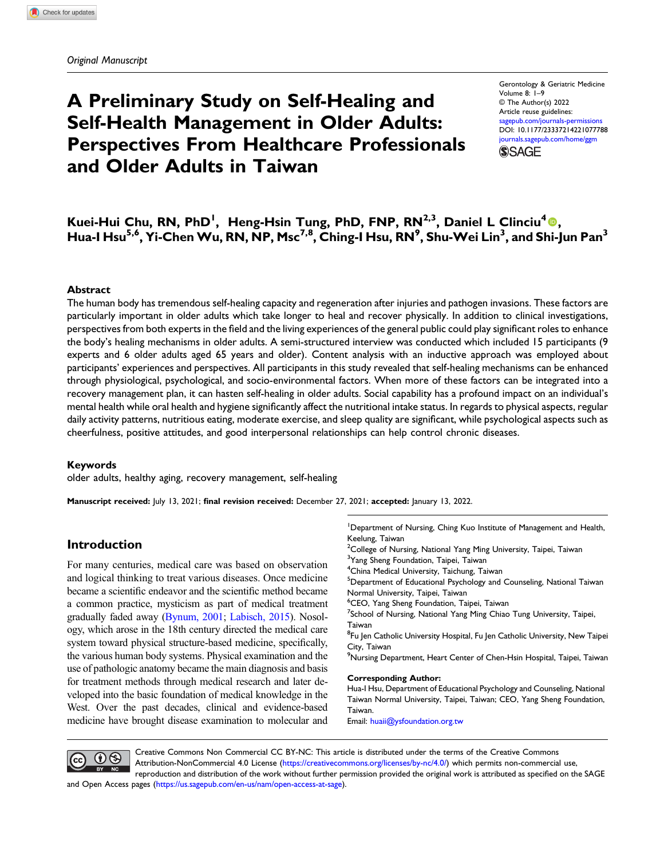# A Preliminary Study on Self-Healing and Self-Health Management in Older Adults: Perspectives From Healthcare Professionals and Older Adults in Taiwan

Gerontology & Geriatric Medicine Volume 8: 1–9 © The Author(s) 2022 Article reuse guidelines: [sagepub.com/journals-permissions](https://us.sagepub.com/en-us/journals-permissions) DOI: [10.1177/23337214221077788](https://doi.org/10.1177/23337214221077788) [journals.sagepub.com/home/ggm](https://journals.sagepub.com/home/ggm) **SSAGE** 

## Kuei-Hui Chu, RN, PhD<sup>1</sup>, Heng-Hsin Tung, PhD, FNP, RN<sup>2,3</sup>, Daniel L Clinciu<sup>4</sup>®, Hua-I Hsu<sup>5,6</sup>, Yi-Chen Wu, RN, NP, Msc<sup>7,8</sup>, Ching-I Hsu, RN<sup>9</sup>, Shu-Wei Lin<sup>3</sup>, and Shi-Jun Pan<sup>3</sup>

#### Abstract

The human body has tremendous self-healing capacity and regeneration after injuries and pathogen invasions. These factors are particularly important in older adults which take longer to heal and recover physically. In addition to clinical investigations, perspectives from both experts in the field and the living experiences of the general public could play significant roles to enhance the body's healing mechanisms in older adults. A semi-structured interview was conducted which included 15 participants (9 experts and 6 older adults aged 65 years and older). Content analysis with an inductive approach was employed about participants' experiences and perspectives. All participants in this study revealed that self-healing mechanisms can be enhanced through physiological, psychological, and socio-environmental factors. When more of these factors can be integrated into a recovery management plan, it can hasten self-healing in older adults. Social capability has a profound impact on an individual's mental health while oral health and hygiene significantly affect the nutritional intake status. In regards to physical aspects, regular daily activity patterns, nutritious eating, moderate exercise, and sleep quality are significant, while psychological aspects such as cheerfulness, positive attitudes, and good interpersonal relationships can help control chronic diseases.

#### Keywords

older adults, healthy aging, recovery management, self-healing

Manuscript received: July 13, 2021; final revision received: December 27, 2021; accepted: January 13, 2022.

## Introduction

For many centuries, medical care was based on observation and logical thinking to treat various diseases. Once medicine became a scientific endeavor and the scientific method became a common practice, mysticism as part of medical treatment gradually faded away [\(Bynum, 2001](#page-6-0); [Labisch, 2015](#page-7-0)). Nosology, which arose in the 18th century directed the medical care system toward physical structure-based medicine, specifically, the various human body systems. Physical examination and the use of pathologic anatomy became the main diagnosis and basis for treatment methods through medical research and later developed into the basic foundation of medical knowledge in the West. Over the past decades, clinical and evidence-based medicine have brought disease examination to molecular and

<sup>1</sup>Department of Nursing, Ching Kuo Institute of Management and Health, Keelung, Taiwan

<sup>2</sup> College of Nursing, National Yang Ming University, Taipei, Taiwan

<sup>3</sup>Yang Sheng Foundation, Taipei, Taiwan

4 China Medical University, Taichung, Taiwan

<sup>5</sup>Department of Educational Psychology and Counseling, National Taiwan Normal University, Taipei, Taiwan

6 CEO, Yang Sheng Foundation, Taipei, Taiwan

<sup>7</sup>School of Nursing, National Yang Ming Chiao Tung University, Taipei, Taiwan

<sup>8</sup>Fu Jen Catholic University Hospital, Fu Jen Catholic University, New Taipei City, Taiwan

<sup>9</sup>Nursing Department, Heart Center of Chen-Hsin Hospital, Taipei, Taiwan

#### Corresponding Author:

Hua-I Hsu, Department of Educational Psychology and Counseling, National Taiwan Normal University, Taipei, Taiwan; CEO, Yang Sheng Foundation, Taiwan.

Email: [huaii@ysfoundation.org.tw](mailto:huaii@ysfoundation.org.tw)



Creative Commons Non Commercial CC BY-NC: This article is distributed under the terms of the Creative Commons Attribution-NonCommercial 4.0 License ([https://creativecommons.org/licenses/by-nc/4.0/\)](https://creativecommons.org/licenses/by-nc/4.0/) which permits non-commercial use,

reproduction and distribution of the work without further permission provided the original work is attributed as specified on the SAGE and Open Access pages (<https://us.sagepub.com/en-us/nam/open-access-at-sage>).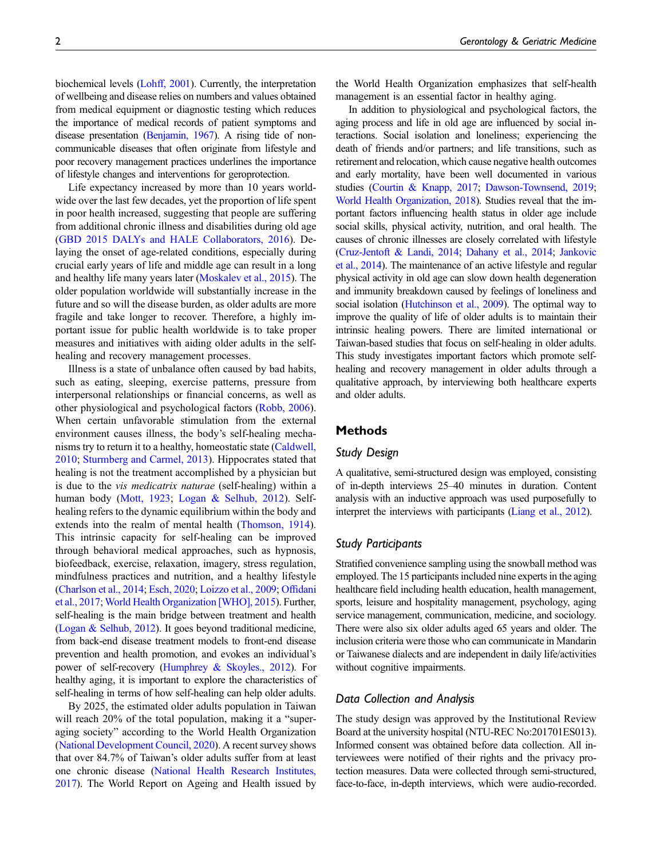biochemical levels [\(Lohff, 2001\)](#page-7-1). Currently, the interpretation of wellbeing and disease relies on numbers and values obtained from medical equipment or diagnostic testing which reduces the importance of medical records of patient symptoms and disease presentation [\(Benjamin, 1967](#page-6-1)). A rising tide of noncommunicable diseases that often originate from lifestyle and poor recovery management practices underlines the importance of lifestyle changes and interventions for geroprotection.

Life expectancy increased by more than 10 years worldwide over the last few decades, yet the proportion of life spent in poor health increased, suggesting that people are suffering from additional chronic illness and disabilities during old age [\(GBD 2015 DALYs and HALE Collaborators, 2016](#page-7-2)). Delaying the onset of age-related conditions, especially during crucial early years of life and middle age can result in a long and healthy life many years later ([Moskalev et al., 2015](#page-7-3)). The older population worldwide will substantially increase in the future and so will the disease burden, as older adults are more fragile and take longer to recover. Therefore, a highly important issue for public health worldwide is to take proper measures and initiatives with aiding older adults in the selfhealing and recovery management processes.

Illness is a state of unbalance often caused by bad habits, such as eating, sleeping, exercise patterns, pressure from interpersonal relationships or financial concerns, as well as other physiological and psychological factors ([Robb, 2006](#page-7-4)). When certain unfavorable stimulation from the external environment causes illness, the body's self-healing mechanisms try to return it to a healthy, homeostatic state ([Caldwell,](#page-6-2) [2010](#page-6-2); [Sturmberg and Carmel, 2013](#page-7-5)). Hippocrates stated that healing is not the treatment accomplished by a physician but is due to the vis medicatrix naturae (self-healing) within a human body ([Mott, 1923](#page-7-6); [Logan & Selhub, 2012](#page-7-7)). Selfhealing refers to the dynamic equilibrium within the body and extends into the realm of mental health ([Thomson, 1914\)](#page-7-8). This intrinsic capacity for self-healing can be improved through behavioral medical approaches, such as hypnosis, biofeedback, exercise, relaxation, imagery, stress regulation, mindfulness practices and nutrition, and a healthy lifestyle [\(Charlson et al., 2014;](#page-6-3) [Esch, 2020;](#page-6-4) [Loizzo et al., 2009](#page-7-9); Offi[dani](#page-7-10) [et al., 2017](#page-7-10); [World Health Organization \[WHO\], 2015](#page-7-11)). Further, self-healing is the main bridge between treatment and health [\(Logan & Selhub, 2012\)](#page-7-7). It goes beyond traditional medicine, from back-end disease treatment models to front-end disease prevention and health promotion, and evokes an individual's power of self-recovery [\(Humphrey & Skoyles., 2012](#page-7-12)). For healthy aging, it is important to explore the characteristics of self-healing in terms of how self-healing can help older adults.

By 2025, the estimated older adults population in Taiwan will reach 20% of the total population, making it a "superaging society" according to the World Health Organization [\(National Development Council, 2020\)](#page-7-13). A recent survey shows that over 84.7% of Taiwan's older adults suffer from at least one chronic disease [\(National Health Research Institutes,](#page-7-14) [2017\)](#page-7-14). The World Report on Ageing and Health issued by the World Health Organization emphasizes that self-health management is an essential factor in healthy aging.

In addition to physiological and psychological factors, the aging process and life in old age are influenced by social interactions. Social isolation and loneliness; experiencing the death of friends and/or partners; and life transitions, such as retirement and relocation, which cause negative health outcomes and early mortality, have been well documented in various studies [\(Courtin & Knapp, 2017;](#page-6-5) [Dawson-Townsend, 2019;](#page-6-6) [World Health Organization, 2018\)](#page-7-15). Studies reveal that the important factors influencing health status in older age include social skills, physical activity, nutrition, and oral health. The causes of chronic illnesses are closely correlated with lifestyle ([Cruz-Jentoft & Landi, 2014](#page-6-7); [Dahany et al., 2014;](#page-6-8) [Jankovic](#page-7-16) [et al., 2014](#page-7-16)). The maintenance of an active lifestyle and regular physical activity in old age can slow down health degeneration and immunity breakdown caused by feelings of loneliness and social isolation [\(Hutchinson et al., 2009](#page-7-17)). The optimal way to improve the quality of life of older adults is to maintain their intrinsic healing powers. There are limited international or Taiwan-based studies that focus on self-healing in older adults. This study investigates important factors which promote selfhealing and recovery management in older adults through a qualitative approach, by interviewing both healthcare experts and older adults.

## **Methods**

## Study Design

A qualitative, semi-structured design was employed, consisting of in-depth interviews 25–40 minutes in duration. Content analysis with an inductive approach was used purposefully to interpret the interviews with participants ([Liang et al., 2012\)](#page-7-18).

## Study Participants

Stratified convenience sampling using the snowball method was employed. The 15 participants included nine experts in the aging healthcare field including health education, health management, sports, leisure and hospitality management, psychology, aging service management, communication, medicine, and sociology. There were also six older adults aged 65 years and older. The inclusion criteria were those who can communicate in Mandarin or Taiwanese dialects and are independent in daily life/activities without cognitive impairments.

## Data Collection and Analysis

The study design was approved by the Institutional Review Board at the university hospital (NTU-REC No:201701ES013). Informed consent was obtained before data collection. All interviewees were notified of their rights and the privacy protection measures. Data were collected through semi-structured, face-to-face, in-depth interviews, which were audio-recorded.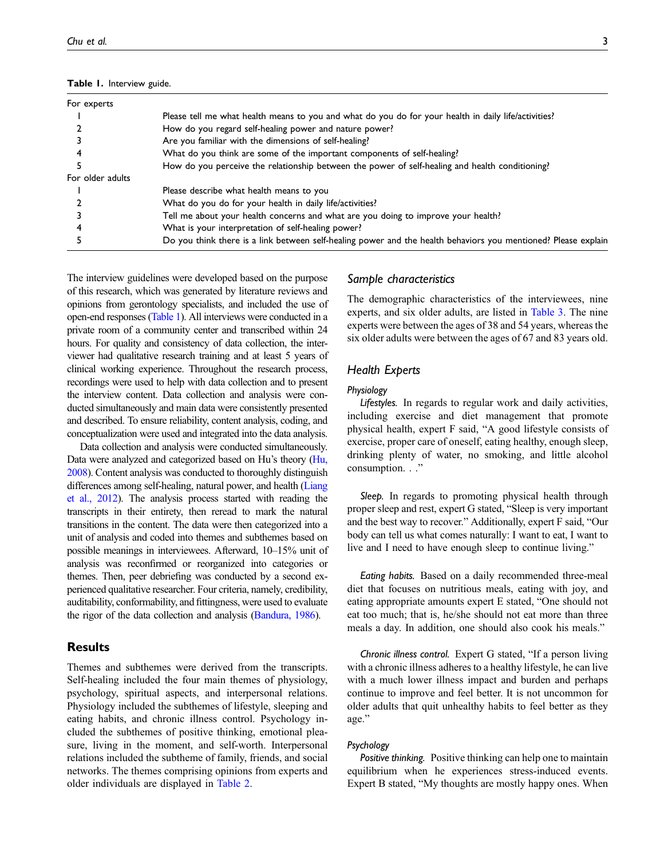<span id="page-2-0"></span>

|  | Table 1. Interview guide. |  |
|--|---------------------------|--|
|--|---------------------------|--|

| For experts      |                                                                                                                |
|------------------|----------------------------------------------------------------------------------------------------------------|
|                  | Please tell me what health means to you and what do you do for your health in daily life/activities?           |
|                  | How do you regard self-healing power and nature power?                                                         |
|                  | Are you familiar with the dimensions of self-healing?                                                          |
|                  | What do you think are some of the important components of self-healing?                                        |
|                  | How do you perceive the relationship between the power of self-healing and health conditioning?                |
| For older adults |                                                                                                                |
|                  | Please describe what health means to you                                                                       |
|                  | What do you do for your health in daily life/activities?                                                       |
|                  | Tell me about your health concerns and what are you doing to improve your health?                              |
|                  | What is your interpretation of self-healing power?                                                             |
|                  | Do you think there is a link between self-healing power and the health behaviors you mentioned? Please explain |
|                  |                                                                                                                |

The interview guidelines were developed based on the purpose of this research, which was generated by literature reviews and opinions from gerontology specialists, and included the use of open-end responses [\(Table 1\)](#page-2-0). All interviews were conducted in a private room of a community center and transcribed within 24 hours. For quality and consistency of data collection, the interviewer had qualitative research training and at least 5 years of clinical working experience. Throughout the research process, recordings were used to help with data collection and to present the interview content. Data collection and analysis were conducted simultaneously and main data were consistently presented and described. To ensure reliability, content analysis, coding, and conceptualization were used and integrated into the data analysis.

Data collection and analysis were conducted simultaneously. Data were analyzed and categorized based on Hu's theory [\(Hu,](#page-7-19) [2008\)](#page-7-19). Content analysis was conducted to thoroughly distinguish differences among self-healing, natural power, and health [\(Liang](#page-7-18) [et al., 2012\)](#page-7-18). The analysis process started with reading the transcripts in their entirety, then reread to mark the natural transitions in the content. The data were then categorized into a unit of analysis and coded into themes and subthemes based on possible meanings in interviewees. Afterward, 10–15% unit of analysis was reconfirmed or reorganized into categories or themes. Then, peer debriefing was conducted by a second experienced qualitative researcher. Four criteria, namely, credibility, auditability, conformability, and fittingness, were used to evaluate the rigor of the data collection and analysis [\(Bandura, 1986\)](#page-6-9).

## Results

Themes and subthemes were derived from the transcripts. Self-healing included the four main themes of physiology, psychology, spiritual aspects, and interpersonal relations. Physiology included the subthemes of lifestyle, sleeping and eating habits, and chronic illness control. Psychology included the subthemes of positive thinking, emotional pleasure, living in the moment, and self-worth. Interpersonal relations included the subtheme of family, friends, and social networks. The themes comprising opinions from experts and older individuals are displayed in [Table 2](#page-3-0).

## Sample characteristics

The demographic characteristics of the interviewees, nine experts, and six older adults, are listed in [Table 3.](#page-3-1) The nine experts were between the ages of 38 and 54 years, whereas the six older adults were between the ages of 67 and 83 years old.

## Health Experts

## Physiology

Lifestyles. In regards to regular work and daily activities, including exercise and diet management that promote physical health, expert F said, "A good lifestyle consists of exercise, proper care of oneself, eating healthy, enough sleep, drinking plenty of water, no smoking, and little alcohol consumption. . ."

Sleep. In regards to promoting physical health through proper sleep and rest, expert G stated, "Sleep is very important and the best way to recover." Additionally, expert F said, "Our body can tell us what comes naturally: I want to eat, I want to live and I need to have enough sleep to continue living."

Eating habits. Based on a daily recommended three-meal diet that focuses on nutritious meals, eating with joy, and eating appropriate amounts expert E stated, "One should not eat too much; that is, he/she should not eat more than three meals a day. In addition, one should also cook his meals."

Chronic illness control. Expert G stated, "If a person living with a chronic illness adheres to a healthy lifestyle, he can live with a much lower illness impact and burden and perhaps continue to improve and feel better. It is not uncommon for older adults that quit unhealthy habits to feel better as they age."

## Psychology

Positive thinking. Positive thinking can help one to maintain equilibrium when he experiences stress-induced events. Expert B stated, "My thoughts are mostly happy ones. When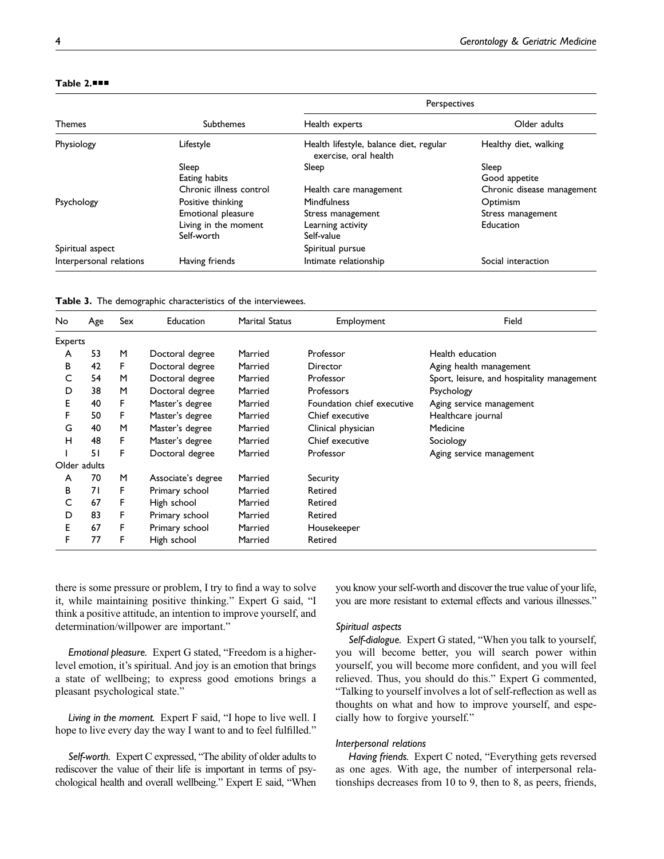|                         | <b>Subthemes</b>        | Perspectives                                                     |                            |  |
|-------------------------|-------------------------|------------------------------------------------------------------|----------------------------|--|
| <b>Themes</b>           |                         | Health experts                                                   | Older adults               |  |
| Physiology              | Lifestyle               | Health lifestyle, balance diet, regular<br>exercise, oral health | Healthy diet, walking      |  |
|                         | Sleep                   | Sleep                                                            | Sleep                      |  |
|                         | Eating habits           |                                                                  | Good appetite              |  |
|                         | Chronic illness control | Health care management                                           | Chronic disease management |  |
| Psychology              | Positive thinking       | <b>Mindfulness</b>                                               | Optimism                   |  |
|                         | Emotional pleasure      | Stress management                                                | Stress management          |  |
|                         | Living in the moment    | Learning activity                                                | Education                  |  |
|                         | Self-worth              | Self-value                                                       |                            |  |
| Spiritual aspect        |                         | Spiritual pursue                                                 |                            |  |
| Interpersonal relations | Having friends          | Intimate relationship                                            | Social interaction         |  |

## <span id="page-3-0"></span>Table 2.■■■

<span id="page-3-1"></span>Table 3. The demographic characteristics of the interviewees.

| No             | Age          | Sex | Education          | <b>Marital Status</b> | Employment                 | Field                                      |
|----------------|--------------|-----|--------------------|-----------------------|----------------------------|--------------------------------------------|
| <b>Experts</b> |              |     |                    |                       |                            |                                            |
| A              | 53           | м   | Doctoral degree    | Married               | Professor                  | Health education                           |
| B              | 42           | F   | Doctoral degree    | Married               | Director                   | Aging health management                    |
| C              | 54           | M   | Doctoral degree    | Married               | Professor                  | Sport, leisure, and hospitality management |
| D              | 38           | M   | Doctoral degree    | Married               | <b>Professors</b>          | Psychology                                 |
| E.             | 40           | F   | Master's degree    | Married               | Foundation chief executive | Aging service management                   |
| F              | 50           | F   | Master's degree    | Married               | Chief executive            | Healthcare journal                         |
| G              | 40           | M   | Master's degree    | Married               | Clinical physician         | Medicine                                   |
| н              | 48           | F   | Master's degree    | Married               | Chief executive            | Sociology                                  |
|                | 51           | F   | Doctoral degree    | Married               | Professor                  | Aging service management                   |
|                | Older adults |     |                    |                       |                            |                                            |
| A              | 70           | M   | Associate's degree | Married               | Security                   |                                            |
| в              | 71           | F   | Primary school     | Married               | Retired                    |                                            |
|                | 67           | F   | High school        | Married               | Retired                    |                                            |
| D              | 83           | F   | Primary school     | Married               | Retired                    |                                            |
| Е              | 67           | F   | Primary school     | Married               | Housekeeper                |                                            |
| F              | 77           | F   | High school        | Married               | Retired                    |                                            |

there is some pressure or problem, I try to find a way to solve it, while maintaining positive thinking." Expert G said, "I think a positive attitude, an intention to improve yourself, and determination/willpower are important."

Emotional pleasure. Expert G stated, "Freedom is a higherlevel emotion, it's spiritual. And joy is an emotion that brings a state of wellbeing; to express good emotions brings a pleasant psychological state."

Living in the moment. Expert F said, "I hope to live well. I hope to live every day the way I want to and to feel fulfilled."

Self-worth. Expert C expressed, "The ability of older adults to rediscover the value of their life is important in terms of psychological health and overall wellbeing." Expert E said, "When you know your self-worth and discover the true value of your life, you are more resistant to external effects and various illnesses."

#### Spiritual aspects

Self-dialogue. Expert G stated, "When you talk to yourself, you will become better, you will search power within yourself, you will become more confident, and you will feel relieved. Thus, you should do this." Expert G commented, "Talking to yourself involves a lot of self-reflection as well as thoughts on what and how to improve yourself, and especially how to forgive yourself."

#### Interpersonal relations

Having friends. Expert C noted, "Everything gets reversed as one ages. With age, the number of interpersonal relationships decreases from 10 to 9, then to 8, as peers, friends,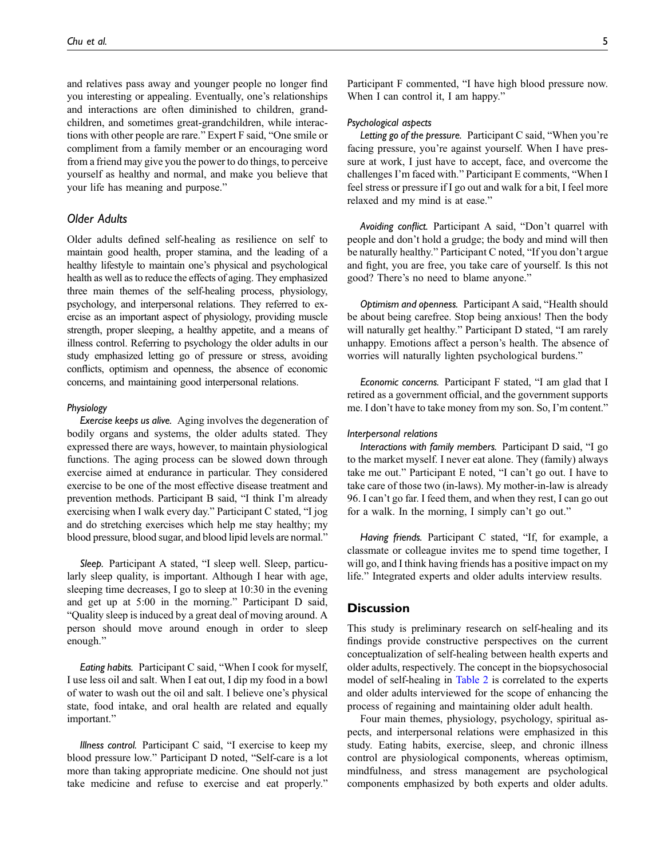and relatives pass away and younger people no longer find you interesting or appealing. Eventually, one's relationships and interactions are often diminished to children, grandchildren, and sometimes great-grandchildren, while interactions with other people are rare." Expert F said, "One smile or compliment from a family member or an encouraging word from a friend may give you the power to do things, to perceive yourself as healthy and normal, and make you believe that your life has meaning and purpose."

## Older Adults

Older adults defined self-healing as resilience on self to maintain good health, proper stamina, and the leading of a healthy lifestyle to maintain one's physical and psychological health as well as to reduce the effects of aging. They emphasized three main themes of the self-healing process, physiology, psychology, and interpersonal relations. They referred to exercise as an important aspect of physiology, providing muscle strength, proper sleeping, a healthy appetite, and a means of illness control. Referring to psychology the older adults in our study emphasized letting go of pressure or stress, avoiding conflicts, optimism and openness, the absence of economic concerns, and maintaining good interpersonal relations.

#### Physiology

Exercise keeps us alive. Aging involves the degeneration of bodily organs and systems, the older adults stated. They expressed there are ways, however, to maintain physiological functions. The aging process can be slowed down through exercise aimed at endurance in particular. They considered exercise to be one of the most effective disease treatment and prevention methods. Participant B said, "I think I'm already exercising when I walk every day." Participant C stated, "I jog and do stretching exercises which help me stay healthy; my blood pressure, blood sugar, and blood lipid levels are normal."

Sleep. Participant A stated, "I sleep well. Sleep, particularly sleep quality, is important. Although I hear with age, sleeping time decreases, I go to sleep at 10:30 in the evening and get up at 5:00 in the morning." Participant D said, "Quality sleep is induced by a great deal of moving around. A person should move around enough in order to sleep enough."

Eating habits. Participant C said, "When I cook for myself, I use less oil and salt. When I eat out, I dip my food in a bowl of water to wash out the oil and salt. I believe one's physical state, food intake, and oral health are related and equally important."

Illness control. Participant C said, "I exercise to keep my blood pressure low." Participant D noted, "Self-care is a lot more than taking appropriate medicine. One should not just take medicine and refuse to exercise and eat properly."

Participant F commented, "I have high blood pressure now. When I can control it, I am happy."

#### Psychological aspects

Letting go of the pressure. Participant C said, "When you're facing pressure, you're against yourself. When I have pressure at work, I just have to accept, face, and overcome the challenges I'm faced with." Participant E comments, "When I feel stress or pressure if I go out and walk for a bit, I feel more relaxed and my mind is at ease."

Avoiding conflict. Participant A said, "Don't quarrel with people and don't hold a grudge; the body and mind will then be naturally healthy." Participant C noted, "If you don't argue and fight, you are free, you take care of yourself. Is this not good? There's no need to blame anyone."

Optimism and openness. Participant A said, "Health should be about being carefree. Stop being anxious! Then the body will naturally get healthy." Participant D stated, "I am rarely unhappy. Emotions affect a person's health. The absence of worries will naturally lighten psychological burdens."

Economic concerns. Participant F stated, "I am glad that I retired as a government official, and the government supports me. I don't have to take money from my son. So, I'm content."

#### Interpersonal relations

Interactions with family members. Participant D said, "I go to the market myself. I never eat alone. They (family) always take me out." Participant E noted, "I can't go out. I have to take care of those two (in-laws). My mother-in-law is already 96. I can't go far. I feed them, and when they rest, I can go out for a walk. In the morning, I simply can't go out."

Having friends. Participant C stated, "If, for example, a classmate or colleague invites me to spend time together, I will go, and I think having friends has a positive impact on my life." Integrated experts and older adults interview results.

## **Discussion**

This study is preliminary research on self-healing and its findings provide constructive perspectives on the current conceptualization of self-healing between health experts and older adults, respectively. The concept in the biopsychosocial model of self-healing in [Table 2](#page-3-0) is correlated to the experts and older adults interviewed for the scope of enhancing the process of regaining and maintaining older adult health.

Four main themes, physiology, psychology, spiritual aspects, and interpersonal relations were emphasized in this study. Eating habits, exercise, sleep, and chronic illness control are physiological components, whereas optimism, mindfulness, and stress management are psychological components emphasized by both experts and older adults.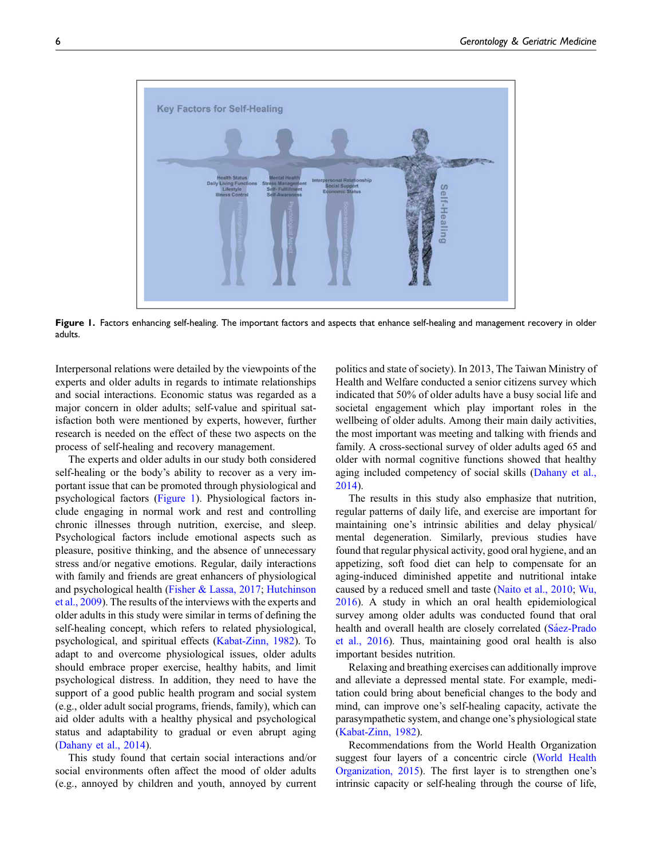

<span id="page-5-0"></span>Figure 1. Factors enhancing self-healing. The important factors and aspects that enhance self-healing and management recovery in older adults.

Interpersonal relations were detailed by the viewpoints of the experts and older adults in regards to intimate relationships and social interactions. Economic status was regarded as a major concern in older adults; self-value and spiritual satisfaction both were mentioned by experts, however, further research is needed on the effect of these two aspects on the process of self-healing and recovery management.

The experts and older adults in our study both considered self-healing or the body's ability to recover as a very important issue that can be promoted through physiological and psychological factors [\(Figure 1\)](#page-5-0). Physiological factors include engaging in normal work and rest and controlling chronic illnesses through nutrition, exercise, and sleep. Psychological factors include emotional aspects such as pleasure, positive thinking, and the absence of unnecessary stress and/or negative emotions. Regular, daily interactions with family and friends are great enhancers of physiological and psychological health ([Fisher & Lassa, 2017;](#page-6-10) [Hutchinson](#page-7-17) [et al., 2009\)](#page-7-17). The results of the interviews with the experts and older adults in this study were similar in terms of defining the self-healing concept, which refers to related physiological, psychological, and spiritual effects ([Kabat-Zinn, 1982\)](#page-7-20). To adapt to and overcome physiological issues, older adults should embrace proper exercise, healthy habits, and limit psychological distress. In addition, they need to have the support of a good public health program and social system (e.g., older adult social programs, friends, family), which can aid older adults with a healthy physical and psychological status and adaptability to gradual or even abrupt aging [\(Dahany et al., 2014](#page-6-8)).

This study found that certain social interactions and/or social environments often affect the mood of older adults (e.g., annoyed by children and youth, annoyed by current politics and state of society). In 2013, The Taiwan Ministry of Health and Welfare conducted a senior citizens survey which indicated that 50% of older adults have a busy social life and societal engagement which play important roles in the wellbeing of older adults. Among their main daily activities, the most important was meeting and talking with friends and family. A cross-sectional survey of older adults aged 65 and older with normal cognitive functions showed that healthy aging included competency of social skills [\(Dahany et al.,](#page-6-8) [2014\)](#page-6-8).

The results in this study also emphasize that nutrition, regular patterns of daily life, and exercise are important for maintaining one's intrinsic abilities and delay physical/ mental degeneration. Similarly, previous studies have found that regular physical activity, good oral hygiene, and an appetizing, soft food diet can help to compensate for an aging-induced diminished appetite and nutritional intake caused by a reduced smell and taste ([Naito et al., 2010](#page-7-21); [Wu,](#page-7-22) [2016\)](#page-7-22). A study in which an oral health epidemiological survey among older adults was conducted found that oral health and overall health are closely correlated (Sáez-Prado [et al., 2016\)](#page-7-23). Thus, maintaining good oral health is also important besides nutrition.

Relaxing and breathing exercises can additionally improve and alleviate a depressed mental state. For example, meditation could bring about beneficial changes to the body and mind, can improve one's self-healing capacity, activate the parasympathetic system, and change one's physiological state ([Kabat-Zinn, 1982](#page-7-20)).

Recommendations from the World Health Organization suggest four layers of a concentric circle ([World Health](#page-7-11) [Organization, 2015\)](#page-7-11). The first layer is to strengthen one's intrinsic capacity or self-healing through the course of life,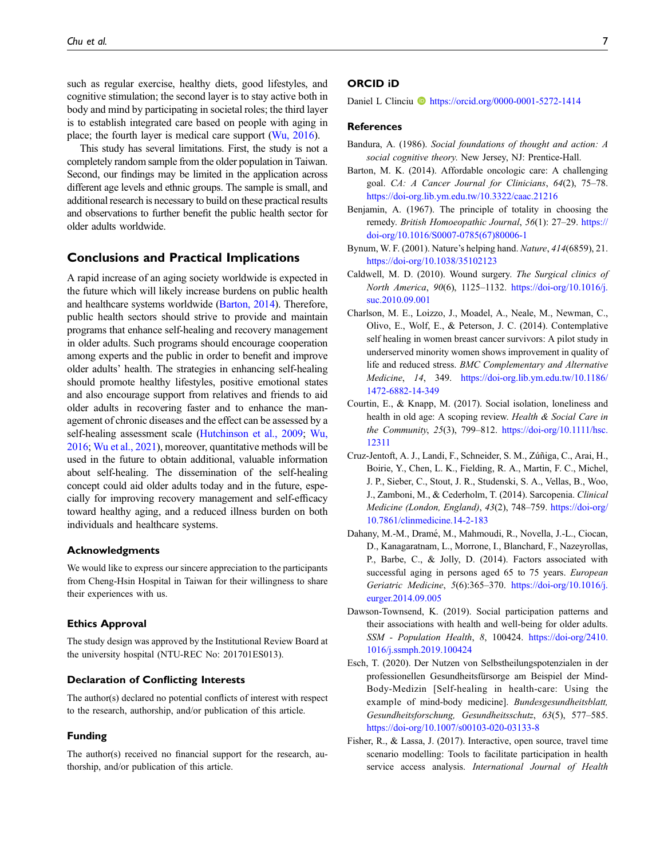such as regular exercise, healthy diets, good lifestyles, and cognitive stimulation; the second layer is to stay active both in body and mind by participating in societal roles; the third layer is to establish integrated care based on people with aging in place; the fourth layer is medical care support ([Wu, 2016\)](#page-7-22).

This study has several limitations. First, the study is not a completely random sample from the older population in Taiwan. Second, our findings may be limited in the application across different age levels and ethnic groups. The sample is small, and additional research is necessary to build on these practical results and observations to further benefit the public health sector for older adults worldwide.

## Conclusions and Practical Implications

A rapid increase of an aging society worldwide is expected in the future which will likely increase burdens on public health and healthcare systems worldwide [\(Barton, 2014\)](#page-6-11). Therefore, public health sectors should strive to provide and maintain programs that enhance self-healing and recovery management in older adults. Such programs should encourage cooperation among experts and the public in order to benefit and improve older adults' health. The strategies in enhancing self-healing should promote healthy lifestyles, positive emotional states and also encourage support from relatives and friends to aid older adults in recovering faster and to enhance the management of chronic diseases and the effect can be assessed by a self-healing assessment scale [\(Hutchinson et al., 2009](#page-7-17); [Wu,](#page-7-22) [2016](#page-7-22); [Wu et al., 2021\)](#page-7-24), moreover, quantitative methods will be used in the future to obtain additional, valuable information about self-healing. The dissemination of the self-healing concept could aid older adults today and in the future, especially for improving recovery management and self-efficacy toward healthy aging, and a reduced illness burden on both individuals and healthcare systems.

#### Acknowledgments

We would like to express our sincere appreciation to the participants from Cheng-Hsin Hospital in Taiwan for their willingness to share their experiences with us.

#### Ethics Approval

The study design was approved by the Institutional Review Board at the university hospital (NTU-REC No: 201701ES013).

## Declaration of Conflicting Interests

The author(s) declared no potential conflicts of interest with respect to the research, authorship, and/or publication of this article.

#### Funding

The author(s) received no financial support for the research, authorship, and/or publication of this article.

#### ORCID iD

Daniel L Clinciu <https://orcid.org/0000-0001-5272-1414>

## **References**

- <span id="page-6-9"></span>Bandura, A. (1986). Social foundations of thought and action: A social cognitive theory. New Jersey, NJ: Prentice-Hall.
- <span id="page-6-11"></span>Barton, M. K. (2014). Affordable oncologic care: A challenging goal. CA: A Cancer Journal for Clinicians, 64(2), 75–78. <https://doi-org.lib.ym.edu.tw/10.3322/caac.21216>
- <span id="page-6-1"></span>Benjamin, A. (1967). The principle of totality in choosing the remedy. British Homoeopathic Journal, 56(1): 27–29. [https://](https://doi-org/10.1016/S0007-0785(67)80006-1) [doi-org/10.1016/S0007-0785\(67\)80006-1](https://doi-org/10.1016/S0007-0785(67)80006-1)
- <span id="page-6-0"></span>Bynum, W. F. (2001). Nature's helping hand. Nature, 414(6859), 21. <https://doi-org/10.1038/35102123>
- <span id="page-6-2"></span>Caldwell, M. D. (2010). Wound surgery. The Surgical clinics of North America, 90(6), 1125–1132. [https://doi-org/10.1016/j.](https://doi-org/10.1016/j.suc.2010.09.001) [suc.2010.09.001](https://doi-org/10.1016/j.suc.2010.09.001)
- <span id="page-6-3"></span>Charlson, M. E., Loizzo, J., Moadel, A., Neale, M., Newman, C., Olivo, E., Wolf, E., & Peterson, J. C. (2014). Contemplative self healing in women breast cancer survivors: A pilot study in underserved minority women shows improvement in quality of life and reduced stress. BMC Complementary and Alternative Medicine, 14, 349. [https://doi-org.lib.ym.edu.tw/10.1186/](https://doi-org.lib.ym.edu.tw/10.1186/1472-6882-14-349) [1472-6882-14-349](https://doi-org.lib.ym.edu.tw/10.1186/1472-6882-14-349)
- <span id="page-6-5"></span>Courtin, E., & Knapp, M. (2017). Social isolation, loneliness and health in old age: A scoping review. Health & Social Care in the Community, 25(3), 799–812. [https://doi-org/10.1111/hsc.](https://doi-org/10.1111/hsc.12311) [12311](https://doi-org/10.1111/hsc.12311)
- <span id="page-6-7"></span>Cruz-Jentoft, A. J., Landi, F., Schneider, S. M., Zuñiga, C., Arai, H., ´ Boirie, Y., Chen, L. K., Fielding, R. A., Martin, F. C., Michel, J. P., Sieber, C., Stout, J. R., Studenski, S. A., Vellas, B., Woo, J., Zamboni, M., & Cederholm, T. (2014). Sarcopenia. Clinical Medicine (London, England), 43(2), 748–759. [https://doi-org/](https://doi-org/10.7861/clinmedicine.14-2-183) [10.7861/clinmedicine.14-2-183](https://doi-org/10.7861/clinmedicine.14-2-183)
- <span id="page-6-8"></span>Dahany, M.-M., Dramé, M., Mahmoudi, R., Novella, J.-L., Ciocan, D., Kanagaratnam, L., Morrone, I., Blanchard, F., Nazeyrollas, P., Barbe, C., & Jolly, D. (2014). Factors associated with successful aging in persons aged 65 to 75 years. European Geriatric Medicine, 5(6):365–370. [https://doi-org/10.1016/j.](https://doi-org/10.1016/j.eurger.2014.09.005) [eurger.2014.09.005](https://doi-org/10.1016/j.eurger.2014.09.005)
- <span id="page-6-6"></span>Dawson-Townsend, K. (2019). Social participation patterns and their associations with health and well-being for older adults. SSM - Population Health, 8, 100424. [https://doi-org/2410.](https://doi-org/2410.1016/j.ssmph.2019.100424) [1016/j.ssmph.2019.100424](https://doi-org/2410.1016/j.ssmph.2019.100424)
- <span id="page-6-4"></span>Esch, T. (2020). Der Nutzen von Selbstheilungspotenzialen in der professionellen Gesundheitsfürsorge am Beispiel der Mind-Body-Medizin [Self-healing in health-care: Using the example of mind-body medicine]. Bundesgesundheitsblatt, Gesundheitsforschung, Gesundheitsschutz, 63(5), 577–585. <https://doi-org/10.1007/s00103-020-03133-8>
- <span id="page-6-10"></span>Fisher, R., & Lassa, J. (2017). Interactive, open source, travel time scenario modelling: Tools to facilitate participation in health service access analysis. International Journal of Health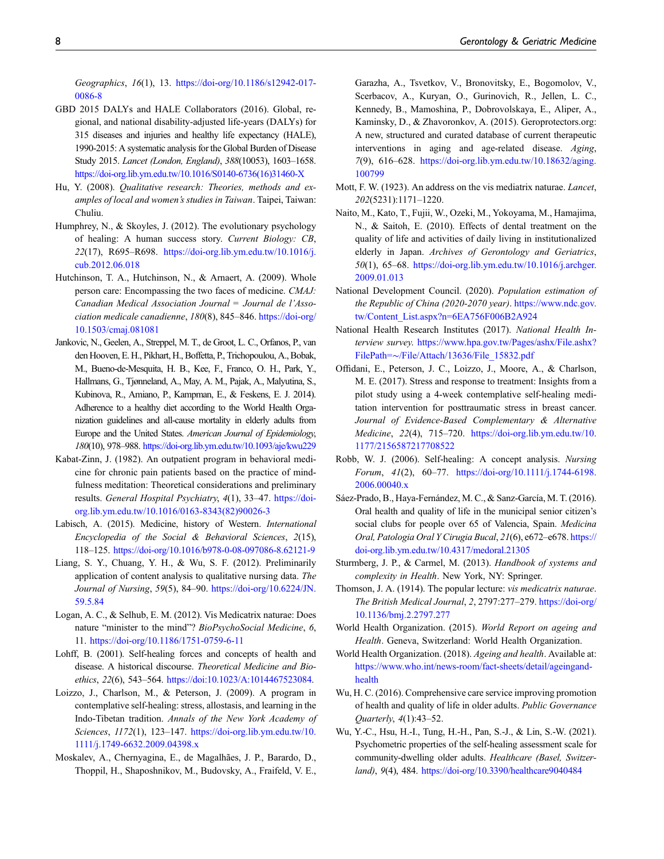Geographics, 16(1), 13. [https://doi-org/10.1186/s12942-017-](https://doi-org/10.1186/s12942-017-0086-8) [0086-8](https://doi-org/10.1186/s12942-017-0086-8)

- <span id="page-7-2"></span>GBD 2015 DALYs and HALE Collaborators (2016). Global, regional, and national disability-adjusted life-years (DALYs) for 315 diseases and injuries and healthy life expectancy (HALE), 1990-2015: A systematic analysis for the Global Burden of Disease Study 2015. Lancet (London, England), 388(10053), 1603–1658. [https://doi-org.lib.ym.edu.tw/10.1016/S0140-6736\(16\)31460-X](https://doi-org.lib.ym.edu.tw/10.1016/S0140-6736(16)31460-X)
- <span id="page-7-19"></span>Hu, Y. (2008). Qualitative research: Theories, methods and examples of local and women's studies in Taiwan. Taipei, Taiwan: Chuliu.
- <span id="page-7-12"></span>Humphrey, N., & Skoyles, J. (2012). The evolutionary psychology of healing: A human success story. Current Biology: CB, 22(17), R695–R698. [https://doi-org.lib.ym.edu.tw/10.1016/j.](https://doi-org.lib.ym.edu.tw/10.1016/j.cub.2012.06.018) [cub.2012.06.018](https://doi-org.lib.ym.edu.tw/10.1016/j.cub.2012.06.018)
- <span id="page-7-17"></span>Hutchinson, T. A., Hutchinson, N., & Arnaert, A. (2009). Whole person care: Encompassing the two faces of medicine. CMAJ: Canadian Medical Association Journal = Journal de l'Association medicale canadienne, 180(8), 845-846. [https://doi-org/](https://doi-org/10.1503/cmaj.081081) [10.1503/cmaj.081081](https://doi-org/10.1503/cmaj.081081)
- <span id="page-7-16"></span>Jankovic, N., Geelen, A., Streppel, M. T., de Groot, L. C., Orfanos, P., van den Hooven, E. H., Pikhart, H., Boffetta, P., Trichopoulou, A., Bobak, M., Bueno-de-Mesquita, H. B., Kee, F., Franco, O. H., Park, Y., Hallmans, G., Tjønneland, A., May, A. M., Pajak, A., Malyutina, S., Kubinova, R., Amiano, P., Kampman, E., & Feskens, E. J. 2014). Adherence to a healthy diet according to the World Health Organization guidelines and all-cause mortality in elderly adults from Europe and the United States. American Journal of Epidemiology, 180(10), 978–988. <https://doi-org.lib.ym.edu.tw/10.1093/aje/kwu229>
- <span id="page-7-20"></span>Kabat-Zinn, J. (1982). An outpatient program in behavioral medicine for chronic pain patients based on the practice of mindfulness meditation: Theoretical considerations and preliminary results. General Hospital Psychiatry, 4(1), 33-47. [https://doi](https://doi-org.lib.ym.edu.tw/10.1016/0163-8343(82)90026-3)[org.lib.ym.edu.tw/10.1016/0163-8343\(82\)90026-3](https://doi-org.lib.ym.edu.tw/10.1016/0163-8343(82)90026-3)
- <span id="page-7-0"></span>Labisch, A. (2015). Medicine, history of Western. International Encyclopedia of the Social & Behavioral Sciences, 2(15), 118–125. <https://doi-org/10.1016/b978-0-08-097086-8.62121-9>
- <span id="page-7-18"></span>Liang, S. Y., Chuang, Y. H., & Wu, S. F. (2012). Preliminarily application of content analysis to qualitative nursing data. The Journal of Nursing, 59(5), 84–90. [https://doi-org/10.6224/JN.](https://doi-org/10.6224/JN.59.5.84) [59.5.84](https://doi-org/10.6224/JN.59.5.84)
- <span id="page-7-7"></span>Logan, A. C., & Selhub, E. M. (2012). Vis Medicatrix naturae: Does nature "minister to the mind"? BioPsychoSocial Medicine, 6, 11. <https://doi-org/10.1186/1751-0759-6-11>
- <span id="page-7-1"></span>Lohff, B. (2001). Self-healing forces and concepts of health and disease. A historical discourse. Theoretical Medicine and Bioethics, 22(6), 543–564. <https://doi:10.1023/A:1014467523084>.
- <span id="page-7-9"></span>Loizzo, J., Charlson, M., & Peterson, J. (2009). A program in contemplative self-healing: stress, allostasis, and learning in the Indo-Tibetan tradition. Annals of the New York Academy of Sciences, 1172(1), 123–147. [https://doi-org.lib.ym.edu.tw/10.](https://doi-org.lib.ym.edu.tw/10.1111/j.1749-6632.2009.04398.x) [1111/j.1749-6632.2009.04398.x](https://doi-org.lib.ym.edu.tw/10.1111/j.1749-6632.2009.04398.x)
- <span id="page-7-3"></span>Moskalev, A., Chernyagina, E., de Magalhães, J. P., Barardo, D., Thoppil, H., Shaposhnikov, M., Budovsky, A., Fraifeld, V. E.,

Garazha, A., Tsvetkov, V., Bronovitsky, E., Bogomolov, V., Scerbacov, A., Kuryan, O., Gurinovich, R., Jellen, L. C., Kennedy, B., Mamoshina, P., Dobrovolskaya, E., Aliper, A., Kaminsky, D., & Zhavoronkov, A. (2015). Geroprotectors.org: A new, structured and curated database of current therapeutic interventions in aging and age-related disease. Aging, 7(9), 616–628. [https://doi-org.lib.ym.edu.tw/10.18632/aging.](https://doi-org.lib.ym.edu.tw/10.18632/aging.100799) [100799](https://doi-org.lib.ym.edu.tw/10.18632/aging.100799)

- <span id="page-7-6"></span>Mott, F. W. (1923). An address on the vis mediatrix naturae. Lancet, 202(5231):1171–1220.
- <span id="page-7-21"></span>Naito, M., Kato, T., Fujii, W., Ozeki, M., Yokoyama, M., Hamajima, N., & Saitoh, E. (2010). Effects of dental treatment on the quality of life and activities of daily living in institutionalized elderly in Japan. Archives of Gerontology and Geriatrics, 50(1), 65–68. [https://doi-org.lib.ym.edu.tw/10.1016/j.archger.](https://doi-org.lib.ym.edu.tw/10.1016/j.archger.2009.01.013) [2009.01.013](https://doi-org.lib.ym.edu.tw/10.1016/j.archger.2009.01.013)
- <span id="page-7-13"></span>National Development Council. (2020). Population estimation of the Republic of China (2020-2070 year). [https://www.ndc.gov.](https://www.ndc.gov.tw/Content_List.aspx?n=6EA756F006B2A924) [tw/Content\\_List.aspx?n=6EA756F006B2A924](https://www.ndc.gov.tw/Content_List.aspx?n=6EA756F006B2A924)
- <span id="page-7-14"></span>National Health Research Institutes (2017). National Health Interview survey. [https://www.hpa.gov.tw/Pages/ashx/File.ashx?](https://www.hpa.gov.tw/Pages/ashx/File.ashx?FilePath=%7E/File/Attach/13636/File_15832.pdf) [FilePath=](https://www.hpa.gov.tw/Pages/ashx/File.ashx?FilePath=%7E/File/Attach/13636/File_15832.pdf)∼[/File/Attach/13636/File\\_15832.pdf](https://www.hpa.gov.tw/Pages/ashx/File.ashx?FilePath=%7E/File/Attach/13636/File_15832.pdf)
- <span id="page-7-10"></span>Offidani, E., Peterson, J. C., Loizzo, J., Moore, A., & Charlson, M. E. (2017). Stress and response to treatment: Insights from a pilot study using a 4-week contemplative self-healing meditation intervention for posttraumatic stress in breast cancer. Journal of Evidence-Based Complementary & Alternative Medicine, 22(4), 715–720. [https://doi-org.lib.ym.edu.tw/10.](https://doi-org.lib.ym.edu.tw/10.1177/2156587217708522) [1177/2156587217708522](https://doi-org.lib.ym.edu.tw/10.1177/2156587217708522)
- <span id="page-7-4"></span>Robb, W. J. (2006). Self-healing: A concept analysis. Nursing Forum, 41(2), 60–77. [https://doi-org/10.1111/j.1744-6198.](https://doi-org/10.1111/j.1744-6198.2006.00040.x) [2006.00040.x](https://doi-org/10.1111/j.1744-6198.2006.00040.x)
- <span id="page-7-23"></span>Sáez-Prado, B., Haya-Fernández, M. C., & Sanz-García, M. T. (2016). Oral health and quality of life in the municipal senior citizen's social clubs for people over 65 of Valencia, Spain. Medicina Oral, Patologia Oral Y Cirugia Bucal, 21(6), e672–e678. [https://](https://doi-org.lib.ym.edu.tw/10.4317/medoral.21305) [doi-org.lib.ym.edu.tw/10.4317/medoral.21305](https://doi-org.lib.ym.edu.tw/10.4317/medoral.21305)
- <span id="page-7-5"></span>Sturmberg, J. P., & Carmel, M. (2013). Handbook of systems and complexity in Health. New York, NY: Springer.
- <span id="page-7-8"></span>Thomson, J. A. (1914). The popular lecture: vis medicatrix naturae. The British Medical Journal, 2, 2797:277–279. [https://doi-org/](https://doi-org/10.1136/bmj.2.2797.277) [10.1136/bmj.2.2797.277](https://doi-org/10.1136/bmj.2.2797.277)
- <span id="page-7-11"></span>World Health Organization. (2015). World Report on ageing and Health. Geneva, Switzerland: World Health Organization.
- <span id="page-7-15"></span>World Health Organization. (2018). Ageing and health. Available at: [https://www.who.int/news-room/fact-sheets/detail/ageingand](https://www.who.int/news-room/fact-sheets/detail/ageingand-health)[health](https://www.who.int/news-room/fact-sheets/detail/ageingand-health)
- <span id="page-7-22"></span>Wu, H. C. (2016). Comprehensive care service improving promotion of health and quality of life in older adults. Public Governance Quarterly, 4(1):43–52.
- <span id="page-7-24"></span>Wu, Y.-C., Hsu, H.-I., Tung, H.-H., Pan, S.-J., & Lin, S.-W. (2021). Psychometric properties of the self-healing assessment scale for community-dwelling older adults. Healthcare (Basel, Switzerland), 9(4), 484. <https://doi-org/10.3390/healthcare9040484>